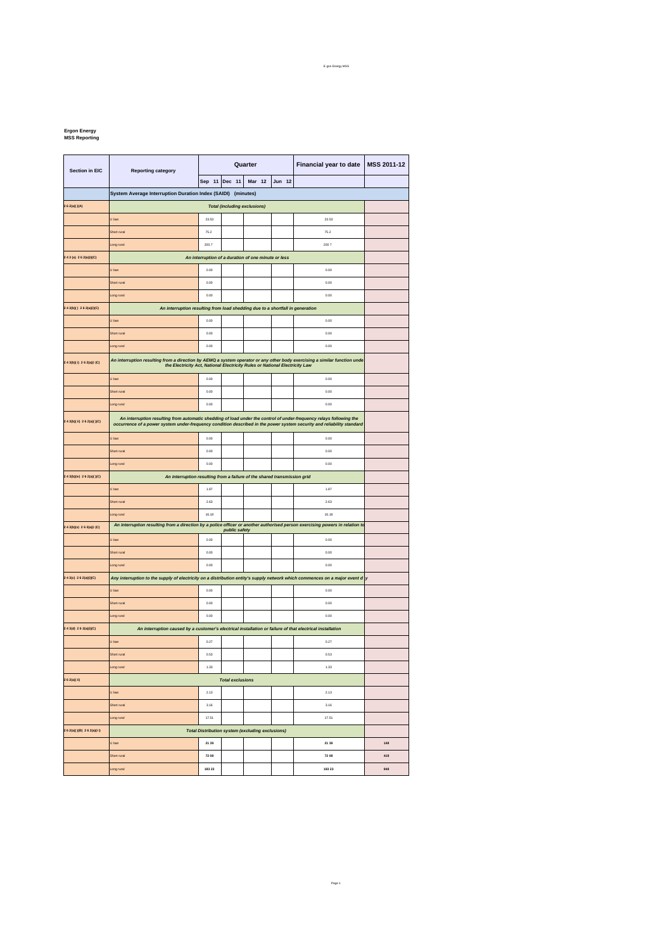## E gon Energy MSS

## **Ergon Energy MSS Reporting**

| Section in EIC              | <b>Reporting category</b>                                                                                                                                                                                                                     | Quarter |        |           |        | Financial year to date | MSS 2011-12 |  |  |  |
|-----------------------------|-----------------------------------------------------------------------------------------------------------------------------------------------------------------------------------------------------------------------------------------------|---------|--------|-----------|--------|------------------------|-------------|--|--|--|
|                             |                                                                                                                                                                                                                                               | Sep 11  | Dec 11 | Mar<br>12 | Jun 12 |                        |             |  |  |  |
|                             | System Average Interruption Duration Index (SAIDI) (minutes)                                                                                                                                                                                  |         |        |           |        |                        |             |  |  |  |
| 2 6 2(a)()(A)               | <b>Total (including exclusions)</b>                                                                                                                                                                                                           |         |        |           |        |                        |             |  |  |  |
|                             | U ban                                                                                                                                                                                                                                         | 23.53   |        |           |        | 23.53                  |             |  |  |  |
|                             | Short rural                                                                                                                                                                                                                                   | 75.2    |        |           |        | 75.2                   |             |  |  |  |
|                             | Long rural                                                                                                                                                                                                                                    | 200.7   |        |           |        | 2007                   |             |  |  |  |
| 243(a) 262(a)(i)(C)         | An interruption of a duration of one minute or less                                                                                                                                                                                           |         |        |           |        |                        |             |  |  |  |
|                             | U ban                                                                                                                                                                                                                                         | 0.00    |        |           |        | 0.00                   |             |  |  |  |
|                             | Short rural                                                                                                                                                                                                                                   | 0.00    |        |           |        | 0.00                   |             |  |  |  |
|                             | ong rural                                                                                                                                                                                                                                     | 0.00    |        |           |        | 0.00                   |             |  |  |  |
| 2 4 3(b)() 2 6 2(a)(i)(C)   | An interruption resulting from load shedding due to a shortfall in generation                                                                                                                                                                 |         |        |           |        |                        |             |  |  |  |
|                             | J ban                                                                                                                                                                                                                                         | 0.00    |        |           |        | 0.00                   |             |  |  |  |
|                             | Short rural                                                                                                                                                                                                                                   | 0.00    |        |           |        | 0.00                   |             |  |  |  |
|                             | ong rura.                                                                                                                                                                                                                                     | 0.00    |        |           |        | 0.00                   |             |  |  |  |
| 2 4 3(b)( i) 2 6 2(a)(i (C) | An interruption resulting from a direction by AEMQ a system operator or any other body exercising a similar function unde                                                                                                                     |         |        |           |        |                        |             |  |  |  |
|                             | the Electricity Act, National Electricity Rules or National Electricity Law                                                                                                                                                                   |         |        |           |        |                        |             |  |  |  |
|                             | U ban                                                                                                                                                                                                                                         | 0.00    |        |           |        | 0.00                   |             |  |  |  |
|                             | Short rural                                                                                                                                                                                                                                   | 0.00    |        |           |        | 0.00                   |             |  |  |  |
|                             | Long rural                                                                                                                                                                                                                                    | 0.00    |        |           |        | 0.00                   |             |  |  |  |
| 2 4 3(b)(ii) 2 6 2(a)()(C)  | An interruption resulting from automatic shedding of load under the control of under-frequency relays following the<br>occurrence of a power system under-frequency condition described in the power system security and reliability standard |         |        |           |        |                        |             |  |  |  |
|                             | J ban                                                                                                                                                                                                                                         | 0.00    |        |           |        | 0.00                   |             |  |  |  |
|                             | Short rural                                                                                                                                                                                                                                   | 0.00    |        |           |        | 0.00                   |             |  |  |  |
|                             | Long rural                                                                                                                                                                                                                                    | 0.00    |        |           |        | 0.00                   |             |  |  |  |
| 2 4 3(b)(iv) 2 6 2(a)( )(C) | An interruption resulting from a failure of the shared transmission grid                                                                                                                                                                      |         |        |           |        |                        |             |  |  |  |
|                             | J ban                                                                                                                                                                                                                                         | 1.87    |        |           |        | 1.87                   |             |  |  |  |
|                             | Short rural                                                                                                                                                                                                                                   | 2.63    |        |           |        | 2.63                   |             |  |  |  |
|                             | Long rural                                                                                                                                                                                                                                    | 16.18   |        |           |        | 16.18                  |             |  |  |  |
| 2 4 3(b)(v) 2 6 2(a)(i (C)  | An interruption resulting from a direction by a police officer or another authorised person exercising powers in relation to<br>public safety                                                                                                 |         |        |           |        |                        |             |  |  |  |
|                             | J ban                                                                                                                                                                                                                                         | 0.00    |        |           |        | 0.00                   |             |  |  |  |
|                             | Short rural                                                                                                                                                                                                                                   | 0.00    |        |           |        | 0.00                   |             |  |  |  |
|                             | Long rural                                                                                                                                                                                                                                    | 0.00    |        |           |        | 0.00                   |             |  |  |  |
| 2 4 3(c) 2 6 2(a)(i)(C)     | Any interruption to the supply of electricity on a distribution entity's supply network which commences on a major event d<br>y                                                                                                               |         |        |           |        |                        |             |  |  |  |
|                             | J ban                                                                                                                                                                                                                                         | 0.00    |        |           |        | 0.00                   |             |  |  |  |
|                             | Short rural                                                                                                                                                                                                                                   | 0.00    |        |           |        | 0.00                   |             |  |  |  |
|                             | Long rural                                                                                                                                                                                                                                    | 0.00    |        |           |        | 0.00                   |             |  |  |  |
| $2.43(d)$ 2 6 2(a)(i)(C)    | An interruption caused by a customer's electrical installation or failure of that electrical installation                                                                                                                                     |         |        |           |        |                        |             |  |  |  |
|                             | J ban                                                                                                                                                                                                                                         | 0.27    |        |           |        | 0.27                   |             |  |  |  |
|                             | Short rural                                                                                                                                                                                                                                   | 0.53    |        |           |        | 0.63                   |             |  |  |  |
|                             | Long rural                                                                                                                                                                                                                                    | 1.33    |        |           |        | 1.33                   |             |  |  |  |
| 2 6 2(a)(ii)                | <b>Total exclusions</b>                                                                                                                                                                                                                       |         |        |           |        |                        |             |  |  |  |
|                             | U ban<br>2.13<br>2.13                                                                                                                                                                                                                         |         |        |           |        |                        |             |  |  |  |
|                             | Short rural                                                                                                                                                                                                                                   | 3.16    |        |           |        | 3.16                   |             |  |  |  |
|                             | Long rural                                                                                                                                                                                                                                    | 17.51   |        |           |        | 17.51                  |             |  |  |  |
| 2 6 2(a)()(B) 2 6 2(a)(i i) |                                                                                                                                                                                                                                               |         |        |           |        |                        |             |  |  |  |
|                             | <b>Total Distribution system (excluding exclusions)</b>                                                                                                                                                                                       |         |        |           |        |                        |             |  |  |  |
|                             | U ban                                                                                                                                                                                                                                         | 21 39   |        |           |        | 21 39                  | 148         |  |  |  |
|                             | Short rural                                                                                                                                                                                                                                   | 72 08   |        |           |        | 72 08                  | 418         |  |  |  |
|                             | Long rural                                                                                                                                                                                                                                    | 183 23  |        |           |        | 183 23                 | 948         |  |  |  |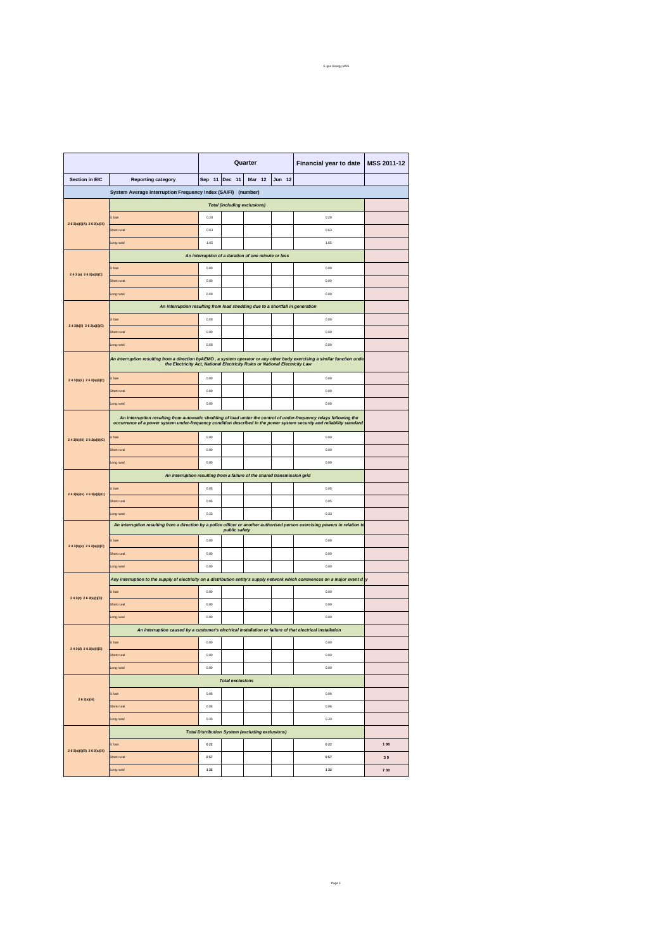|                              |                                                                                                                                                                                                                                               | Quarter                              |  |  |  | Financial year to date | MSS 2011-12 |  |
|------------------------------|-----------------------------------------------------------------------------------------------------------------------------------------------------------------------------------------------------------------------------------------------|--------------------------------------|--|--|--|------------------------|-------------|--|
| <b>Section in EIC</b>        | <b>Reporting category</b>                                                                                                                                                                                                                     | Sep 11<br>Dec 11<br>Mar 12<br>Jun 12 |  |  |  |                        |             |  |
|                              | System Average Interruption Frequency Index (SAIFI) (number)                                                                                                                                                                                  |                                      |  |  |  |                        |             |  |
|                              | <b>Total (including exclusions)</b>                                                                                                                                                                                                           |                                      |  |  |  |                        |             |  |
| 2 6 2(a)(i)(A) 2 6 2(a)(iii) | J ban                                                                                                                                                                                                                                         | 0.28                                 |  |  |  | 0.28                   |             |  |
|                              | Short rural                                                                                                                                                                                                                                   | 0.63                                 |  |  |  | 0.63                   |             |  |
|                              | Long rura                                                                                                                                                                                                                                     | 1.65                                 |  |  |  | 1.65                   |             |  |
| 243(a) 262(a)(i)(C)          | An interruption of a duration of one minute or less                                                                                                                                                                                           |                                      |  |  |  |                        |             |  |
|                              | U ban                                                                                                                                                                                                                                         | 0.00                                 |  |  |  | 0.00                   |             |  |
|                              | Short rural                                                                                                                                                                                                                                   | 0.00                                 |  |  |  | 0.00                   |             |  |
|                              | Long rural                                                                                                                                                                                                                                    | 0.00                                 |  |  |  | 0.00                   |             |  |
|                              | An interruption resulting from load shedding due to a shortfall in generation                                                                                                                                                                 |                                      |  |  |  |                        |             |  |
| 2.43(b)(i) 2.62(a)(i)(C)     | J ban                                                                                                                                                                                                                                         | 0.00                                 |  |  |  | 0.00                   |             |  |
|                              | Short rural                                                                                                                                                                                                                                   | 0.00                                 |  |  |  | 0.00                   |             |  |
|                              | Long rural                                                                                                                                                                                                                                    | 0.00                                 |  |  |  | 0.00                   |             |  |
|                              | An interruption resulting from a direction byAEMO , a system operator or any other body exercising a similar function unde<br>the Electricity Act, National Electricity Rules or National Electricity Law                                     |                                      |  |  |  |                        |             |  |
| 2 4 3(b)(i) 2 6 2(a)(i)(C)   | J ban                                                                                                                                                                                                                                         | 0.00                                 |  |  |  | 0.00                   |             |  |
|                              | Short rural                                                                                                                                                                                                                                   | 0.00                                 |  |  |  | 0.00                   |             |  |
|                              | ong rural                                                                                                                                                                                                                                     | 0.00                                 |  |  |  | 0.00                   |             |  |
|                              | An interruption resulting from automatic shedding of load under the control of under-frequency relays following the<br>occurrence of a power system under-frequency condition described in the power system security and reliability standard |                                      |  |  |  |                        |             |  |
|                              | J ban                                                                                                                                                                                                                                         | 0.00                                 |  |  |  | 0.00                   |             |  |
| 2 4 3(b)(iii) 2 6 2(a)(i)(C) | Short rural                                                                                                                                                                                                                                   | 0.00                                 |  |  |  | 0.00                   |             |  |
|                              | ong rura                                                                                                                                                                                                                                      | 0.00                                 |  |  |  | 0.00                   |             |  |
|                              | An interruption resulting from a failure of the shared transmission grid                                                                                                                                                                      |                                      |  |  |  |                        |             |  |
|                              | J ban                                                                                                                                                                                                                                         | 0.05                                 |  |  |  | 0.05                   |             |  |
| 2 4 3(b)(iv) 2 6 2(a)(i)(C)  | Short rural                                                                                                                                                                                                                                   | 0.05                                 |  |  |  | 0.05                   |             |  |
|                              | ong rural                                                                                                                                                                                                                                     | 0.33                                 |  |  |  | 0.33                   |             |  |
|                              | An interruption resulting from a direction by a police officer or another authorised person exercising powers in relation to<br>public safety                                                                                                 |                                      |  |  |  |                        |             |  |
|                              | J ban                                                                                                                                                                                                                                         | 0.00                                 |  |  |  | 0.00                   |             |  |
| 2 4 3(b)(v) 2 6 2(a)(i)(C)   | Short rural                                                                                                                                                                                                                                   | 0.00                                 |  |  |  | 0.00                   |             |  |
|                              | Long rural                                                                                                                                                                                                                                    | 0.00                                 |  |  |  | 0.00                   |             |  |
|                              | Any interruption to the supply of electricity on a distribution entity's supply network which commences on a major event d $ y $                                                                                                              |                                      |  |  |  |                        |             |  |
|                              | U ban                                                                                                                                                                                                                                         | 0.00                                 |  |  |  | 0.00                   |             |  |
| 2 4 3(c) 2 6 2(a)(i)(C)      | Short rural                                                                                                                                                                                                                                   | 0.00                                 |  |  |  | 0.00                   |             |  |
|                              | Long rural                                                                                                                                                                                                                                    | 0.00                                 |  |  |  | 0.00                   |             |  |
|                              | An interruption caused by a customer's electrical installation or failure of that electrical installation                                                                                                                                     |                                      |  |  |  |                        |             |  |
| 2.43(d) 2.62(a)(i)(C)        | U ban                                                                                                                                                                                                                                         | 0.00                                 |  |  |  | 0.00                   |             |  |
|                              | Short rural                                                                                                                                                                                                                                   | 0.00                                 |  |  |  | 0.00                   |             |  |
|                              | Long rural                                                                                                                                                                                                                                    | 0.00                                 |  |  |  | 0.00                   |             |  |
| 2 6 2(a)(iii)                | <b>Total exclusions</b>                                                                                                                                                                                                                       |                                      |  |  |  |                        |             |  |
|                              | U ban                                                                                                                                                                                                                                         | 0.06                                 |  |  |  | 0.06                   |             |  |
|                              | Short rural                                                                                                                                                                                                                                   | 0.06                                 |  |  |  | 0.06                   |             |  |
|                              | Long rural                                                                                                                                                                                                                                    | 0.33                                 |  |  |  | 0.33                   |             |  |
|                              | <b>Total Distribution System (excluding exclusions)</b>                                                                                                                                                                                       |                                      |  |  |  |                        |             |  |
| 2 6 2(a)(i)(B) 2 6 2(a)(iii) | U ban                                                                                                                                                                                                                                         | 0.22                                 |  |  |  | 022                    | 196         |  |
|                              | Short rural                                                                                                                                                                                                                                   | 057                                  |  |  |  | 057                    | 39          |  |
|                              | Long rural                                                                                                                                                                                                                                    | 132                                  |  |  |  | 1 3 2                  | 730         |  |

Page 2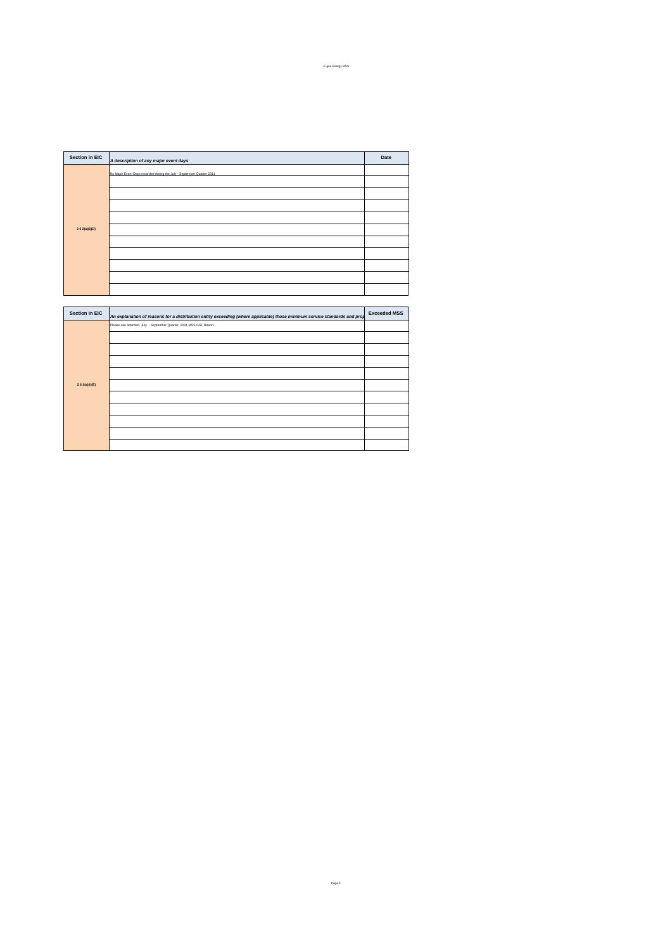| Section in EIC |                                                                       | Date |
|----------------|-----------------------------------------------------------------------|------|
|                | A description of any major event days                                 |      |
|                | No Major Event Days recorded during the July - September Quarter 2011 |      |
|                |                                                                       |      |
|                |                                                                       |      |
|                |                                                                       |      |
| 2 6 2(a)(i)(D) |                                                                       |      |
|                |                                                                       |      |
|                |                                                                       |      |
|                |                                                                       |      |
|                |                                                                       |      |
|                |                                                                       |      |

| Section in EIC | An explanation of reasons for a distribution entity exceeding (where applicable) those minimum service standards and prop | <b>Exceeded MSS</b> |
|----------------|---------------------------------------------------------------------------------------------------------------------------|---------------------|
|                | Please see attached July - September Quarter 2011 MSS GSL Report                                                          |                     |
|                |                                                                                                                           |                     |
|                |                                                                                                                           |                     |
|                |                                                                                                                           |                     |
|                |                                                                                                                           |                     |
| 262(a)(i)(E)   |                                                                                                                           |                     |
|                |                                                                                                                           |                     |
|                |                                                                                                                           |                     |
|                |                                                                                                                           |                     |
|                |                                                                                                                           |                     |
|                |                                                                                                                           |                     |
|                |                                                                                                                           |                     |